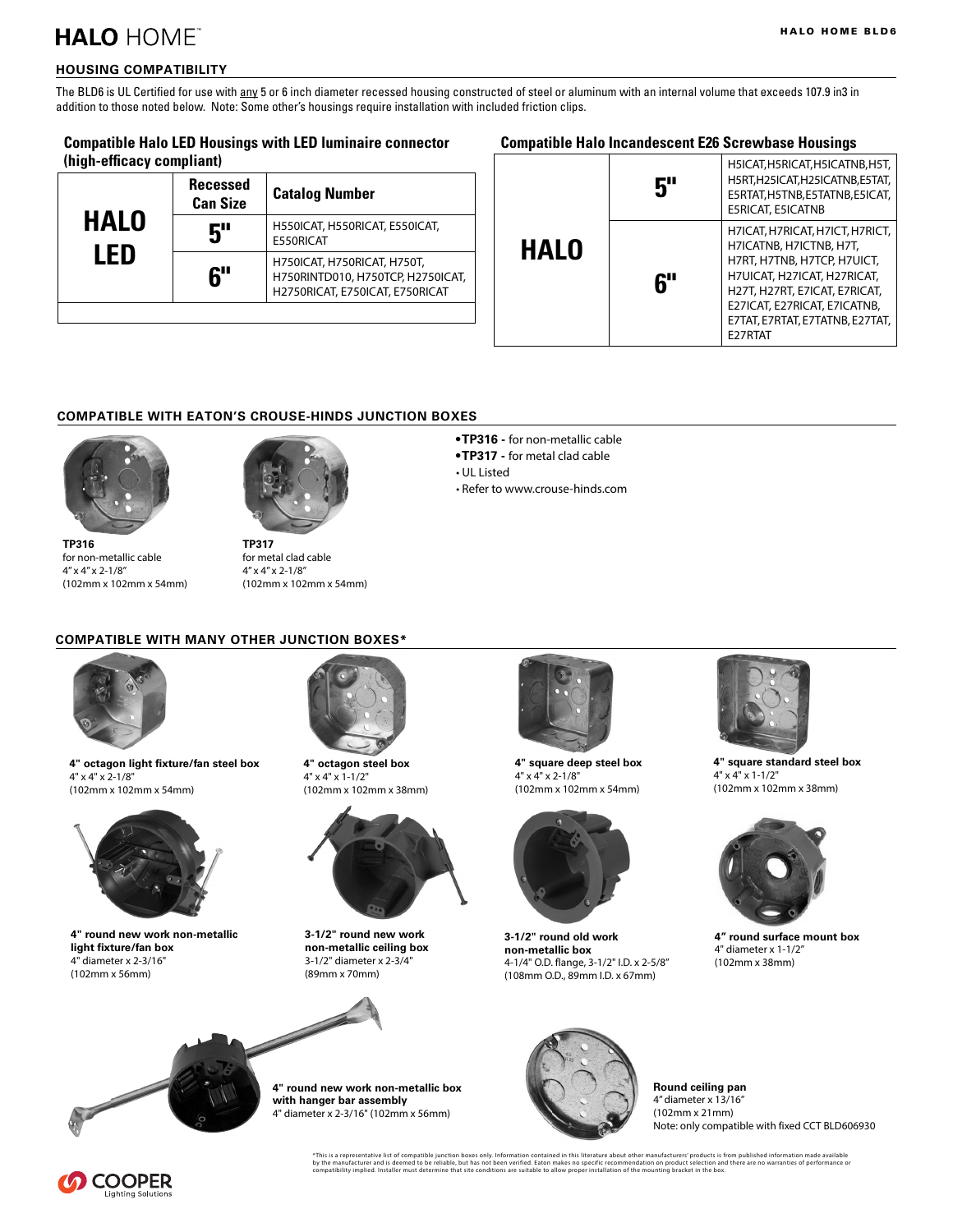## **HALO HOMET**

### **HOUSING COMPATIBILITY**

The BLD6 is UL Certified for use with any 5 or 6 inch diameter recessed housing constructed of steel or aluminum with an internal volume that exceeds 107.9 in3 in addition to those noted below. Note: Some other's housings require installation with included friction clips.

#### **Compatible Halo LED Housings with LED luminaire connector (high-efficacy compliant)**

| <b>HALO</b><br>LED | <b>Recessed</b><br><b>Can Size</b> | <b>Catalog Number</b>                                                                               |
|--------------------|------------------------------------|-----------------------------------------------------------------------------------------------------|
|                    | 5"                                 | H550ICAT, H550RICAT, E550ICAT,<br>E550RICAT                                                         |
|                    | 6"                                 | H750ICAT, H750RICAT, H750T,<br>H750RINTD010, H750TCP, H2750ICAT,<br>H2750RICAT, E750ICAT, E750RICAT |
|                    |                                    |                                                                                                     |

#### **Compatible Halo Incandescent E26 Screwbase Housings**

|             | 5" | H5ICAT, H5RICAT, H5ICATNB, H5T,<br>H5RT, H25ICAT, H25ICATNB, E5TAT,<br>E5RTAT, H5TNB, E5TATNB, E5ICAT,<br><b>E5RICAT, E5ICATNB</b>                                                                                                      |
|-------------|----|-----------------------------------------------------------------------------------------------------------------------------------------------------------------------------------------------------------------------------------------|
| <b>HALO</b> | 6" | H7ICAT, H7RICAT, H7ICT, H7RICT,<br>H7ICATNB, H7ICTNB, H7T,<br>H7RT, H7TNB, H7TCP, H7UICT,<br>H7UICAT, H27ICAT, H27RICAT,<br>H27T, H27RT, E7ICAT, E7RICAT,<br>E27ICAT, E27RICAT, E7ICATNB,<br>E7TAT, E7RTAT, E7TATNB, E27TAT,<br>E27RTAT |

#### **COMPATIBLE WITH EATON'S CROUSE-HINDS JUNCTION BOXES**



**TP316** for non-metallic cable 4" x 4" x 2-1/8" (102mm x 102mm x 54mm)



for metal clad cable 4" x 4" x 2-1/8" (102mm x 102mm x 54mm)

- **TP316** for non-metallic cable
- **TP317** for metal clad cable
- UL Listed
- Refer to www.crouse-hinds.com

#### **COMPATIBLE WITH MANY OTHER JUNCTION BOXES\***



**4" octagon light fixture/fan steel box** 4" x 4" x 2-1/8" (102mm x 102mm x 54mm)



**4" round new work non-metallic light fixture/fan box** 4" diameter x 2-3/16" (102mm x 56mm)



**4" octagon steel box** 4" x 4" x 1-1/2" (102mm x 102mm x 38mm)



**3-1/2" round new work non-metallic ceiling box** 3-1/2" diameter x 2-3/4" (89mm x 70mm)



**4" round new work non-metallic box with hanger bar assembly** 4" diameter x 2-3/16" (102mm x 56mm)



**4" square deep steel box** 4" x 4" x 2-1/8" (102mm x 102mm x 54mm)



**3-1/2" round old work non-metallic box** 4-1/4" O.D. flange, 3-1/2" I.D. x 2-5/8" (108mm O.D., 89mm I.D. x 67mm)



**4" square standard steel box** 4" x 4" x 1-1/2" (102mm x 102mm x 38mm)



**4" round surface mount box** 4" diameter x 1-1/2" (102mm x 38mm)





**Round ceiling pan** 4" diameter x 13/16" (102mm x 21mm) Note: only compatible with fixed CCT BLD606930

\*This is a representative list of compatible junction boxes only. Information contained in this literature about other manufacturers' products is from published information made available<br>by the manufacturer and is deemed